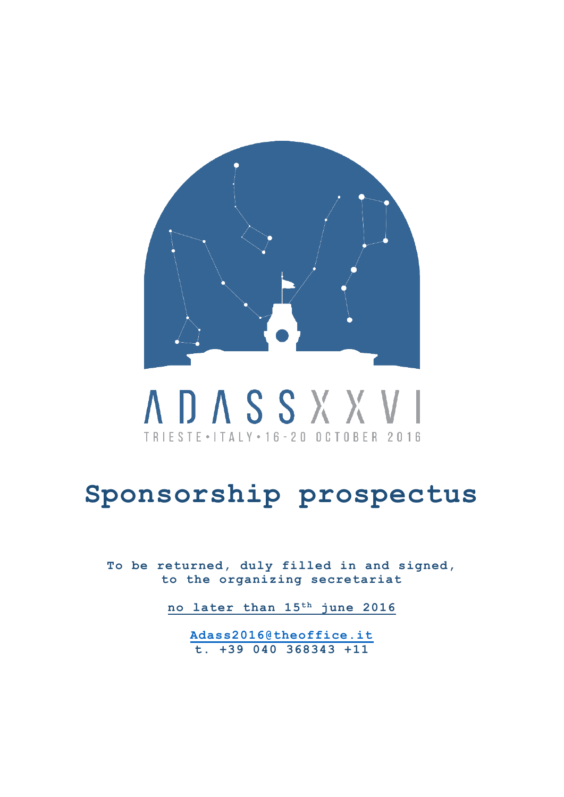

# **ADASSXXVI** TRIESTE . ITALY . 16 - 20 OCTOBER 2016

## **Sponsorship prospectus**

**To be returned, duly filled in and signed, to the organizing secretariat**

**no later than 15 th june 2016**

**[Adass2016@theoffice.it](mailto:Adass2016@theoffice.it) t. +39 040 368343 +11**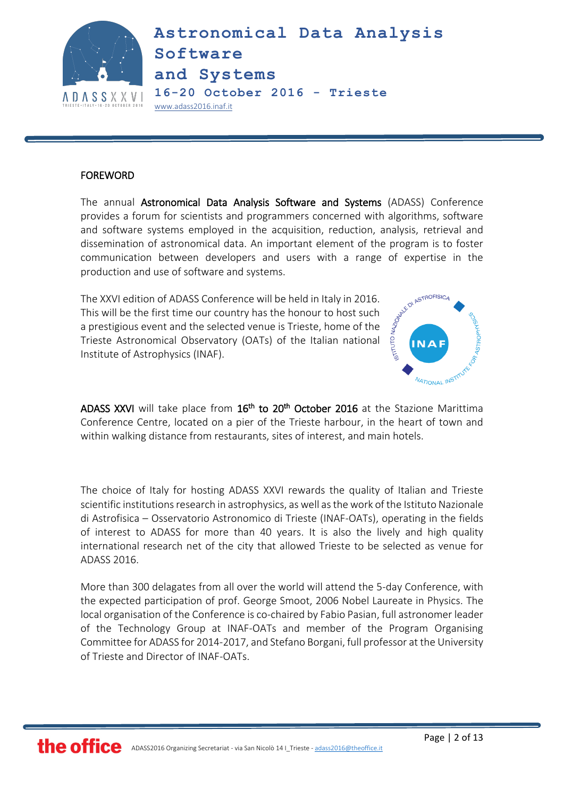

#### FOREWORD

The annual Astronomical Data Analysis Software and Systems (ADASS) Conference provides a forum for scientists and programmers concerned with algorithms, software and software systems employed in the acquisition, reduction, analysis, retrieval and dissemination of astronomical data. An important element of the program is to foster communication between developers and users with a range of expertise in the production and use of software and systems.

The XXVI edition of ADASS Conference will be held in Italy in 2016.<br>This will be the first time our country has the honour to host such<br>a prestigious event and the selected venue is Trion.<br>Trieste Astronomical Observation This will be the first time our country has the honour to host such a prestigious event and the selected venue is Trieste, home of the Trieste Astronomical Observatory (OATs) of the Italian national Institute of Astrophysics (INAF).



ADASS XXVI will take place from 16<sup>th</sup> to 20<sup>th</sup> October 2016 at the Stazione Marittima Conference Centre, located on a pier of the Trieste harbour, in the heart of town and within walking distance from restaurants, sites of interest, and main hotels.

The choice of Italy for hosting ADASS XXVI rewards the quality of Italian and Trieste scientific institutions research in astrophysics, as well as the work of the Istituto Nazionale di Astrofisica – Osservatorio Astronomico di Trieste (INAF-OATs), operating in the fields of interest to ADASS for more than 40 years. It is also the lively and high quality international research net of the city that allowed Trieste to be selected as venue for ADASS 2016.

More than 300 delagates from all over the world will attend the 5-day Conference, with the expected participation of prof. George Smoot, 2006 Nobel Laureate in Physics. The local organisation of the Conference is co-chaired by Fabio Pasian, full astronomer leader of the Technology Group at INAF-OATs and member of the Program Organising Committee for ADASS for 2014-2017, and Stefano Borgani, full professor at the University of Trieste and Director of INAF-OATs.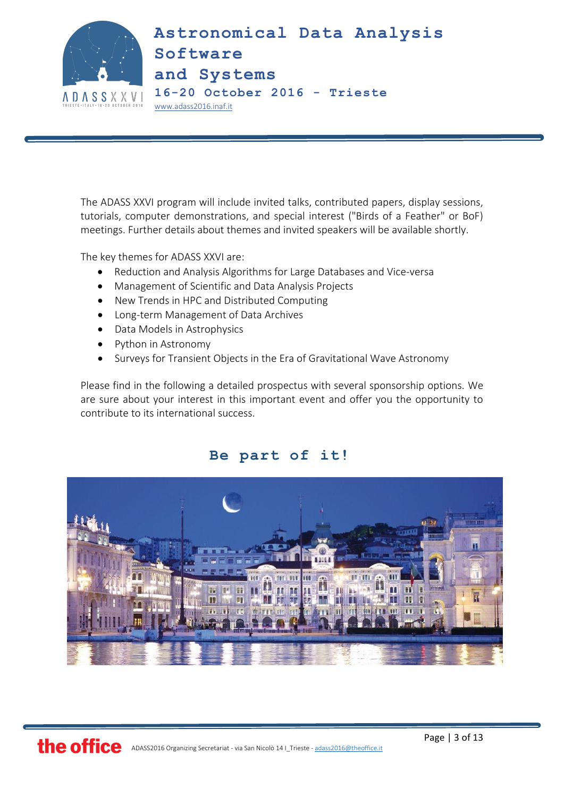

The ADASS XXVI program will include invited talks, contributed papers, display sessions, tutorials, computer demonstrations, and special interest ("Birds of a Feather" or BoF) meetings. Further details about themes and invited speakers will be available shortly.

The key themes for ADASS XXVI are:

- Reduction and Analysis Algorithms for Large Databases and Vice-versa
- Management of Scientific and Data Analysis Projects
- New Trends in HPC and Distributed Computing
- Long-term Management of Data Archives
- Data Models in Astrophysics
- Python in Astronomy
- Surveys for Transient Objects in the Era of Gravitational Wave Astronomy

Please find in the following a detailed prospectus with several sponsorship options. We are sure about your interest in this important event and offer you the opportunity to contribute to its international success.

### **Be part of it!**

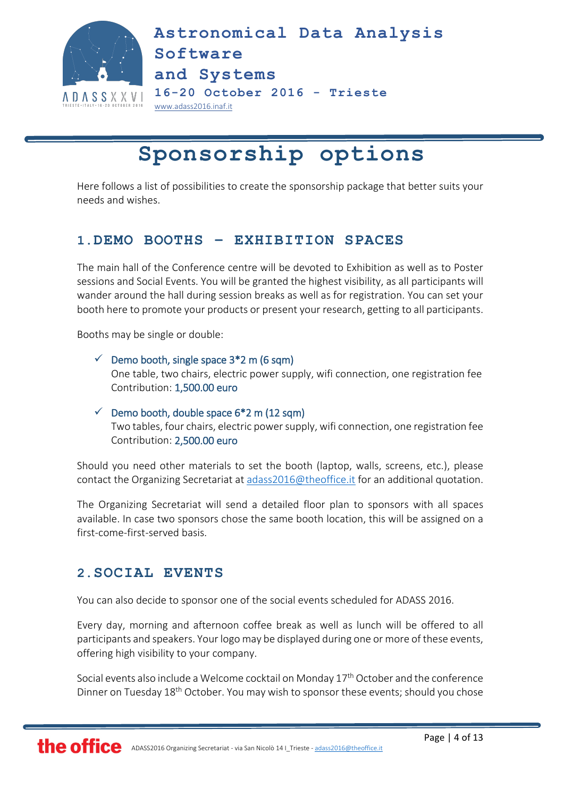

### **Sponsorship options**

Here follows a list of possibilities to create the sponsorship package that better suits your needs and wishes.

### **1.DEMO BOOTHS – EXHIBITION SPACES**

The main hall of the Conference centre will be devoted to Exhibition as well as to Poster sessions and Social Events. You will be granted the highest visibility, as all participants will wander around the hall during session breaks as well as for registration. You can set your booth here to promote your products or present your research, getting to all participants.

Booths may be single or double:

### $\checkmark$  Demo booth, single space 3\*2 m (6 sqm) One table, two chairs, electric power supply, wifi connection, one registration fee Contribution: 1,500.00 euro

 $\checkmark$  Demo booth, double space 6\*2 m (12 sqm) Two tables, four chairs, electric power supply, wifi connection, one registration fee Contribution: 2,500.00 euro

Should you need other materials to set the booth (laptop, walls, screens, etc.), please contact the Organizing Secretariat at [adass2016@theoffice.it](mailto:adass2016@theoffice.it) for an additional quotation.

The Organizing Secretariat will send a detailed floor plan to sponsors with all spaces available. In case two sponsors chose the same booth location, this will be assigned on a first-come-first-served basis.

### **2.SOCIAL EVENTS**

You can also decide to sponsor one of the social events scheduled for ADASS 2016.

Every day, morning and afternoon coffee break as well as lunch will be offered to all participants and speakers. Your logo may be displayed during one or more of these events, offering high visibility to your company.

Social events also include a Welcome cocktail on Monday 17<sup>th</sup> October and the conference Dinner on Tuesday 18<sup>th</sup> October. You may wish to sponsor these events; should you chose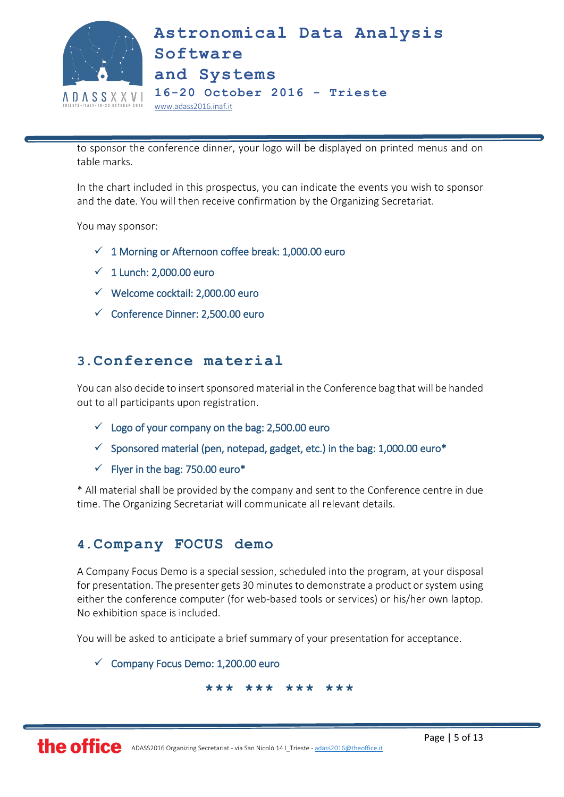

to sponsor the conference dinner, your logo will be displayed on printed menus and on table marks.

In the chart included in this prospectus, you can indicate the events you wish to sponsor and the date. You will then receive confirmation by the Organizing Secretariat.

You may sponsor:

- $\checkmark$  1 Morning or Afternoon coffee break: 1,000.00 euro
- $\checkmark$  1 Lunch: 2,000.00 euro
- $\checkmark$  Welcome cocktail: 2,000.00 euro
- $\checkmark$  Conference Dinner: 2,500.00 euro

### **3.Conference material**

You can also decide to insert sponsored material in the Conference bag that will be handed out to all participants upon registration.

- $\checkmark$  Logo of your company on the bag: 2,500.00 euro
- $\checkmark$  Sponsored material (pen, notepad, gadget, etc.) in the bag: 1,000.00 euro\*
- $\checkmark$  Flyer in the bag: 750.00 euro\*

\* All material shall be provided by the company and sent to the Conference centre in due time. The Organizing Secretariat will communicate all relevant details.

### **4.Company FOCUS demo**

A Company Focus Demo is a special session, scheduled into the program, at your disposal for presentation. The presenter gets 30 minutes to demonstrate a product or system using either the conference computer (for web-based tools or services) or his/her own laptop. No exhibition space is included.

You will be asked to anticipate a brief summary of your presentation for acceptance.

 $\checkmark$  Company Focus Demo: 1,200.00 euro

**\*\*\* \*\*\* \*\*\* \*\*\***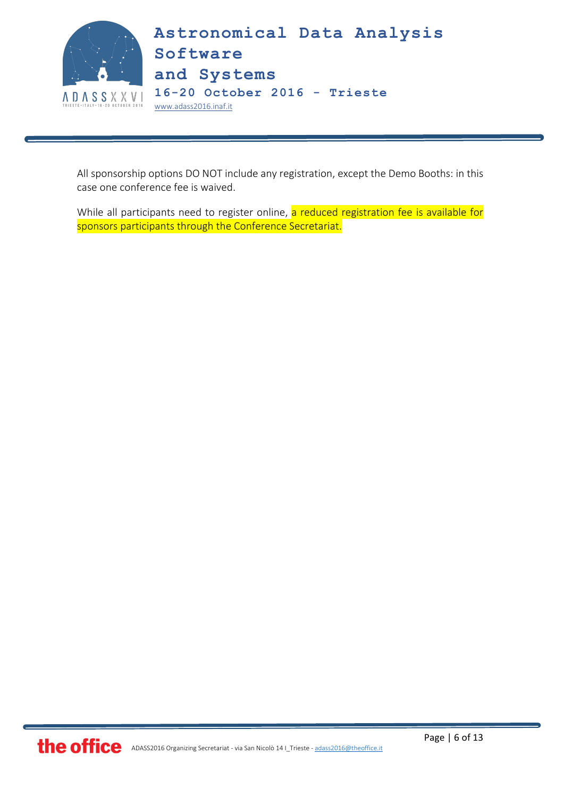

All sponsorship options DO NOT include any registration, except the Demo Booths: in this case one conference fee is waived.

While all participants need to register online, a reduced registration fee is available for sponsors participants through the Conference Secretariat.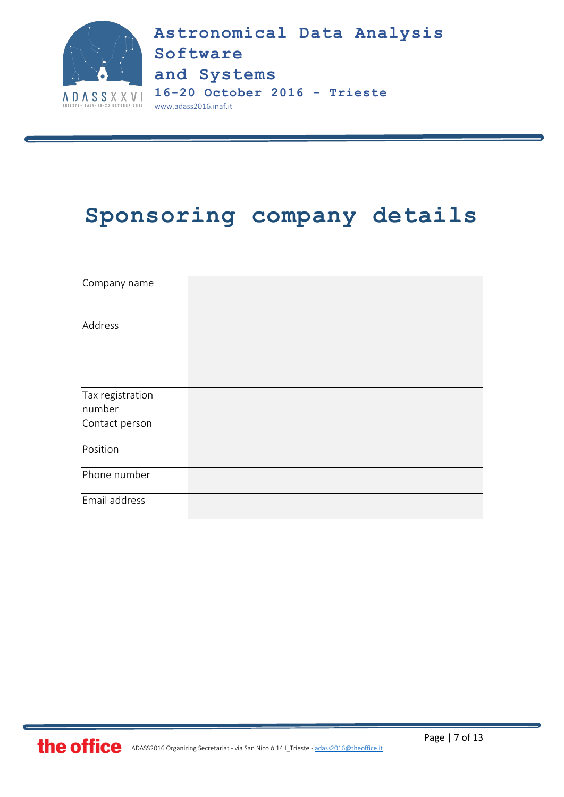

### **Sponsoring company details**

| Company name               |  |
|----------------------------|--|
| Address                    |  |
| Tax registration<br>number |  |
| Contact person             |  |
| Position                   |  |
| Phone number               |  |
| Email address              |  |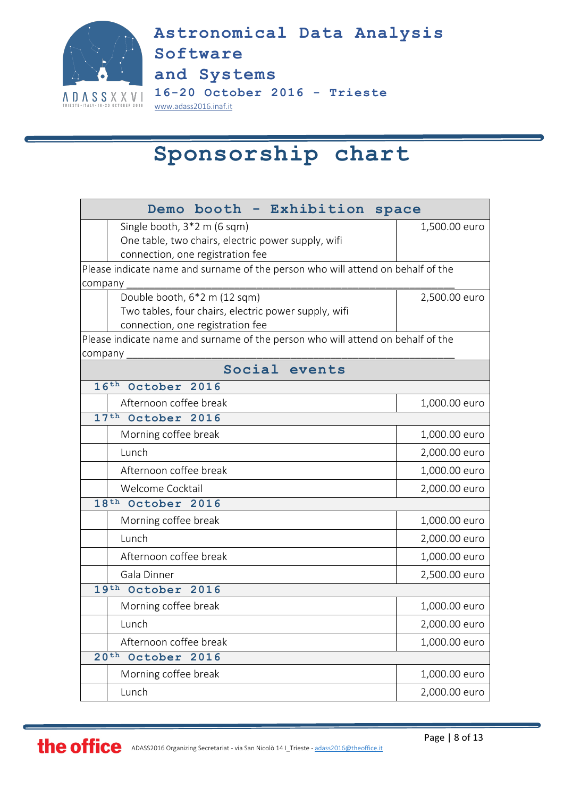

### **Sponsorship chart**

| Demo booth - Exhibition space                                                   |               |  |  |
|---------------------------------------------------------------------------------|---------------|--|--|
| Single booth, 3*2 m (6 sqm)                                                     | 1,500.00 euro |  |  |
| One table, two chairs, electric power supply, wifi                              |               |  |  |
| connection, one registration fee                                                |               |  |  |
| Please indicate name and surname of the person who will attend on behalf of the |               |  |  |
| company<br>Double booth, 6*2 m (12 sqm)                                         | 2,500.00 euro |  |  |
| Two tables, four chairs, electric power supply, wifi                            |               |  |  |
| connection, one registration fee                                                |               |  |  |
| Please indicate name and surname of the person who will attend on behalf of the |               |  |  |
| company                                                                         |               |  |  |
| Social events                                                                   |               |  |  |
| 16th October 2016                                                               |               |  |  |
| Afternoon coffee break                                                          | 1,000.00 euro |  |  |
| 17 <sup>th</sup> October 2016                                                   |               |  |  |
| Morning coffee break                                                            | 1,000.00 euro |  |  |
| Lunch                                                                           | 2,000.00 euro |  |  |
| Afternoon coffee break                                                          | 1,000.00 euro |  |  |
| Welcome Cocktail                                                                | 2,000.00 euro |  |  |
| 18 <sup>th</sup> October 2016                                                   |               |  |  |
| Morning coffee break                                                            | 1,000.00 euro |  |  |
| Lunch                                                                           | 2,000.00 euro |  |  |
| Afternoon coffee break                                                          | 1,000.00 euro |  |  |
| Gala Dinner                                                                     | 2,500.00 euro |  |  |
| 19th October 2016                                                               |               |  |  |
| Morning coffee break                                                            | 1,000.00 euro |  |  |
| Lunch                                                                           | 2,000.00 euro |  |  |
| Afternoon coffee break                                                          | 1,000.00 euro |  |  |
| 20 <sup>th</sup><br>October 2016                                                |               |  |  |
| Morning coffee break                                                            | 1,000.00 euro |  |  |
| Lunch                                                                           | 2,000.00 euro |  |  |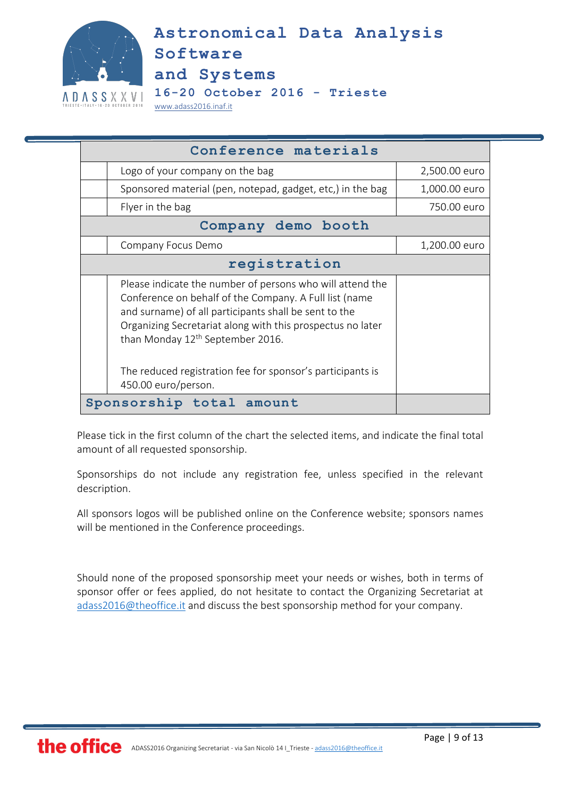

**Astronomical Data Analysis Software and Systems 16-20 October 2016 - Trieste**

[www.adass2016.inaf.it](http://www.adass2016.inaf.it/)

| Conference materials                                                                                                                                                                                                                                                                       |               |  |  |
|--------------------------------------------------------------------------------------------------------------------------------------------------------------------------------------------------------------------------------------------------------------------------------------------|---------------|--|--|
| Logo of your company on the bag                                                                                                                                                                                                                                                            | 2,500.00 euro |  |  |
| Sponsored material (pen, notepad, gadget, etc,) in the bag                                                                                                                                                                                                                                 | 1,000.00 euro |  |  |
| Flyer in the bag                                                                                                                                                                                                                                                                           | 750.00 euro   |  |  |
| Company demo booth                                                                                                                                                                                                                                                                         |               |  |  |
| Company Focus Demo                                                                                                                                                                                                                                                                         | 1,200.00 euro |  |  |
| registration                                                                                                                                                                                                                                                                               |               |  |  |
| Please indicate the number of persons who will attend the<br>Conference on behalf of the Company. A Full list (name<br>and surname) of all participants shall be sent to the<br>Organizing Secretariat along with this prospectus no later<br>than Monday 12 <sup>th</sup> September 2016. |               |  |  |
| The reduced registration fee for sponsor's participants is<br>450.00 euro/person.                                                                                                                                                                                                          |               |  |  |
| Sponsorship total amount                                                                                                                                                                                                                                                                   |               |  |  |

Please tick in the first column of the chart the selected items, and indicate the final total amount of all requested sponsorship.

Sponsorships do not include any registration fee, unless specified in the relevant description.

All sponsors logos will be published online on the Conference website; sponsors names will be mentioned in the Conference proceedings.

Should none of the proposed sponsorship meet your needs or wishes, both in terms of sponsor offer or fees applied, do not hesitate to contact the Organizing Secretariat at [adass2016@theoffice.it](mailto:adass2016@theoffice.it) and discuss the best sponsorship method for your company.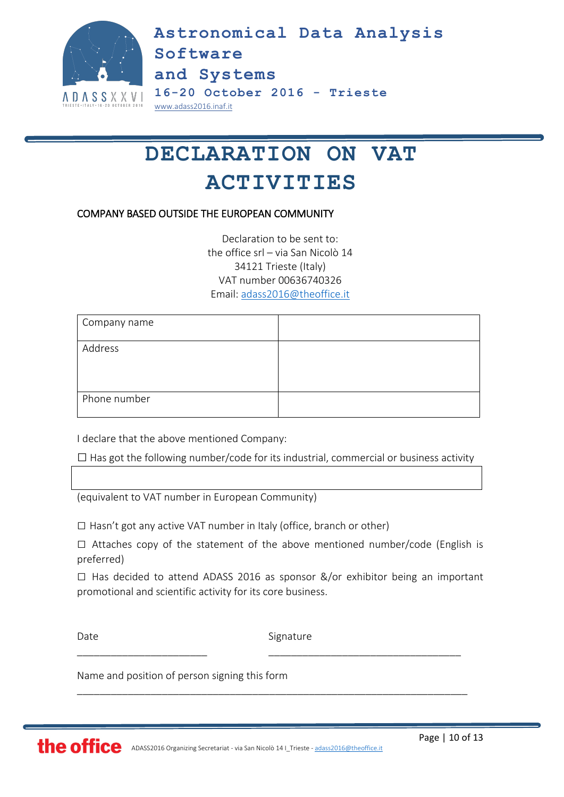

## **DECLARATION ON VAT ACTIVITIES**

#### COMPANY BASED OUTSIDE THE EUROPEAN COMMUNITY

Declaration to be sent to: the office srl – via San Nicolò 14 34121 Trieste (Italy) VAT number 00636740326 Email: [adass2016@theoffice.it](mailto:adass2016@theoffice.it)

| Company name |  |
|--------------|--|
| Address      |  |
| Phone number |  |

I declare that the above mentioned Company:

 $\square$  Has got the following number/code for its industrial, commercial or business activity

(equivalent to VAT number in European Community)

 $\square$  Hasn't got any active VAT number in Italy (office, branch or other)

 $\square$  Attaches copy of the statement of the above mentioned number/code (English is preferred)

 $\square$  Has decided to attend ADASS 2016 as sponsor &/or exhibitor being an important promotional and scientific activity for its core business.

Date Signature

\_\_\_\_\_\_\_\_\_\_\_\_\_\_\_\_\_\_\_\_\_\_\_ \_\_\_\_\_\_\_\_\_\_\_\_\_\_\_\_\_\_\_\_\_\_\_\_\_\_\_\_\_\_\_\_\_\_

\_\_\_\_\_\_\_\_\_\_\_\_\_\_\_\_\_\_\_\_\_\_\_\_\_\_\_\_\_\_\_\_\_\_\_\_\_\_\_\_\_\_\_\_\_\_\_\_\_\_\_\_\_\_\_\_\_\_\_\_\_\_\_\_\_\_\_\_\_

Name and position of person signing this form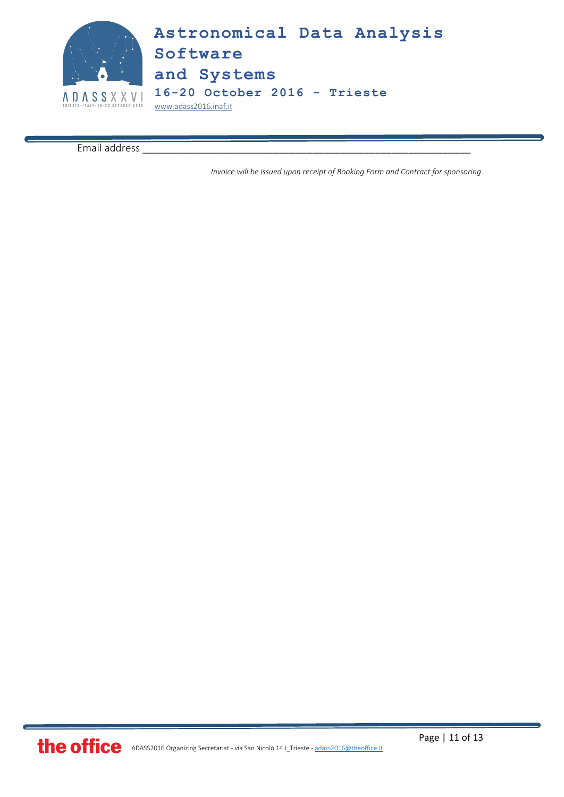![](_page_10_Picture_0.jpeg)

Email address

*Invoice will be issued upon receipt of Booking Form and Contract for sponsoring.*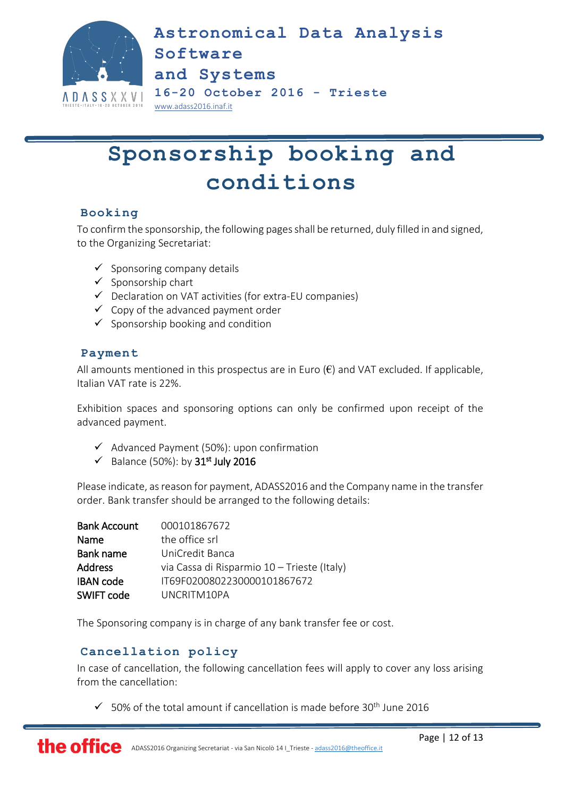![](_page_11_Picture_0.jpeg)

## **Sponsorship booking and conditions**

### **Booking**

To confirm the sponsorship, the following pages shall be returned, duly filled in and signed, to the Organizing Secretariat:

- $\checkmark$  Sponsoring company details
- $\checkmark$  Sponsorship chart
- $\checkmark$  Declaration on VAT activities (for extra-EU companies)
- $\checkmark$  Copy of the advanced payment order
- $\checkmark$  Sponsorship booking and condition

#### **Payment**

All amounts mentioned in this prospectus are in Euro  $(\epsilon)$  and VAT excluded. If applicable, Italian VAT rate is 22%.

Exhibition spaces and sponsoring options can only be confirmed upon receipt of the advanced payment.

- $\checkmark$  Advanced Payment (50%): upon confirmation
- $\checkmark$  Balance (50%): by 31<sup>st</sup> July 2016

Please indicate, as reason for payment, ADASS2016 and the Company name in the transfer order. Bank transfer should be arranged to the following details:

| <b>Bank Account</b> | 000101867672                                |
|---------------------|---------------------------------------------|
| Name                | the office srl                              |
| Bank name           | UniCredit Banca                             |
| <b>Address</b>      | via Cassa di Risparmio 10 - Trieste (Italy) |
| <b>IBAN</b> code    | IT69F0200802230000101867672                 |
| SWIFT code          | UNCRITM10PA                                 |

The Sponsoring company is in charge of any bank transfer fee or cost.

### **Cancellation policy**

In case of cancellation, the following cancellation fees will apply to cover any loss arising from the cancellation:

 $\checkmark$  50% of the total amount if cancellation is made before 30<sup>th</sup> June 2016